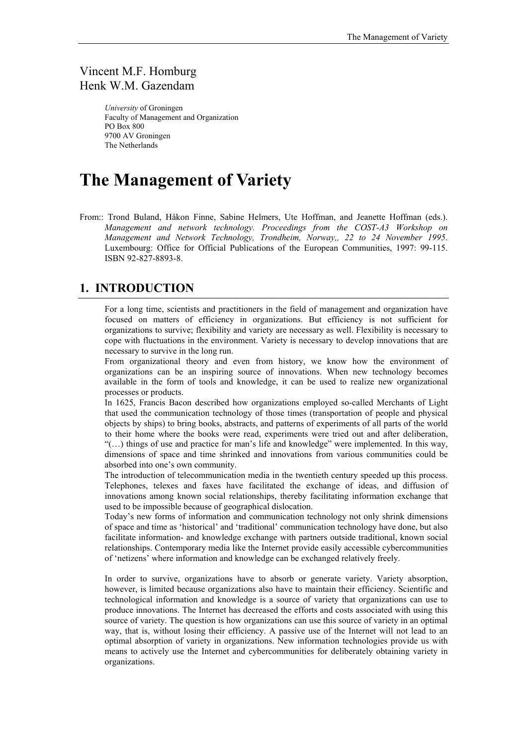### Vincent M.F. Homburg Henk W.M. Gazendam

*University* of Groningen Faculty of Management and Organization PO Box 800 9700 AV Groningen The Netherlands

# **The Management of Variety**

From:: Trond Buland, Håkon Finne, Sabine Helmers, Ute Hoffman, and Jeanette Hoffman (eds.). *Management and network technology. Proceedings from the COST-A3 Workshop on Management and Network Technology, Trondheim, Norway,, 22 to 24 November 1995*. Luxembourg: Office for Official Publications of the European Communities, 1997: 99-115. ISBN 92-827-8893-8.

### **1. INTRODUCTION**

For a long time, scientists and practitioners in the field of management and organization have focused on matters of efficiency in organizations. But efficiency is not sufficient for organizations to survive; flexibility and variety are necessary as well. Flexibility is necessary to cope with fluctuations in the environment. Variety is necessary to develop innovations that are necessary to survive in the long run.

From organizational theory and even from history, we know how the environment of organizations can be an inspiring source of innovations. When new technology becomes available in the form of tools and knowledge, it can be used to realize new organizational processes or products.

In 1625, Francis Bacon described how organizations employed so-called Merchants of Light that used the communication technology of those times (transportation of people and physical objects by ships) to bring books, abstracts, and patterns of experiments of all parts of the world to their home where the books were read, experiments were tried out and after deliberation, "(…) things of use and practice for man's life and knowledge" were implemented. In this way, dimensions of space and time shrinked and innovations from various communities could be absorbed into one's own community.

The introduction of telecommunication media in the twentieth century speeded up this process. Telephones, telexes and faxes have facilitated the exchange of ideas, and diffusion of innovations among known social relationships, thereby facilitating information exchange that used to be impossible because of geographical dislocation.

Today's new forms of information and communication technology not only shrink dimensions of space and time as 'historical' and 'traditional' communication technology have done, but also facilitate information- and knowledge exchange with partners outside traditional, known social relationships. Contemporary media like the Internet provide easily accessible cybercommunities of 'netizens' where information and knowledge can be exchanged relatively freely.

In order to survive, organizations have to absorb or generate variety. Variety absorption, however, is limited because organizations also have to maintain their efficiency. Scientific and technological information and knowledge is a source of variety that organizations can use to produce innovations. The Internet has decreased the efforts and costs associated with using this source of variety. The question is how organizations can use this source of variety in an optimal way, that is, without losing their efficiency. A passive use of the Internet will not lead to an optimal absorption of variety in organizations. New information technologies provide us with means to actively use the Internet and cybercommunities for deliberately obtaining variety in organizations.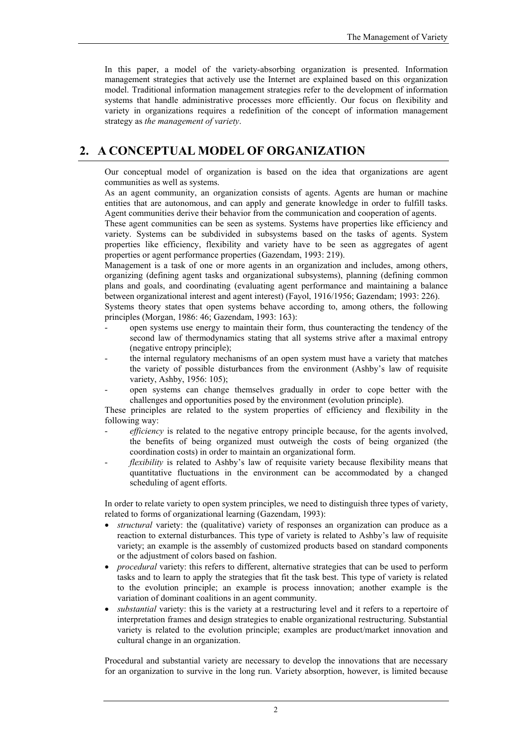In this paper, a model of the variety-absorbing organization is presented. Information management strategies that actively use the Internet are explained based on this organization model. Traditional information management strategies refer to the development of information systems that handle administrative processes more efficiently. Our focus on flexibility and variety in organizations requires a redefinition of the concept of information management strategy as *the management of variety*.

### **2. A CONCEPTUAL MODEL OF ORGANIZATION**

Our conceptual model of organization is based on the idea that organizations are agent communities as well as systems.

As an agent community, an organization consists of agents. Agents are human or machine entities that are autonomous, and can apply and generate knowledge in order to fulfill tasks. Agent communities derive their behavior from the communication and cooperation of agents.

These agent communities can be seen as systems. Systems have properties like efficiency and variety. Systems can be subdivided in subsystems based on the tasks of agents. System properties like efficiency, flexibility and variety have to be seen as aggregates of agent properties or agent performance properties (Gazendam, 1993: 219).

Management is a task of one or more agents in an organization and includes, among others, organizing (defining agent tasks and organizational subsystems), planning (defining common plans and goals, and coordinating (evaluating agent performance and maintaining a balance between organizational interest and agent interest) (Fayol, 1916/1956; Gazendam; 1993: 226).

Systems theory states that open systems behave according to, among others, the following principles (Morgan, 1986: 46; Gazendam, 1993: 163):

- open systems use energy to maintain their form, thus counteracting the tendency of the second law of thermodynamics stating that all systems strive after a maximal entropy (negative entropy principle);
- the internal regulatory mechanisms of an open system must have a variety that matches the variety of possible disturbances from the environment (Ashby's law of requisite variety, Ashby, 1956: 105);
- open systems can change themselves gradually in order to cope better with the challenges and opportunities posed by the environment (evolution principle).

These principles are related to the system properties of efficiency and flexibility in the following way:

- efficiency is related to the negative entropy principle because, for the agents involved, the benefits of being organized must outweigh the costs of being organized (the coordination costs) in order to maintain an organizational form.
- *flexibility* is related to Ashby's law of requisite variety because flexibility means that quantitative fluctuations in the environment can be accommodated by a changed scheduling of agent efforts.

In order to relate variety to open system principles, we need to distinguish three types of variety, related to forms of organizational learning (Gazendam, 1993):

- *structural* variety: the (qualitative) variety of responses an organization can produce as a reaction to external disturbances. This type of variety is related to Ashby's law of requisite variety; an example is the assembly of customized products based on standard components or the adjustment of colors based on fashion.
- *procedural* variety: this refers to different, alternative strategies that can be used to perform tasks and to learn to apply the strategies that fit the task best. This type of variety is related to the evolution principle; an example is process innovation; another example is the variation of dominant coalitions in an agent community.
- *substantial* variety: this is the variety at a restructuring level and it refers to a repertoire of interpretation frames and design strategies to enable organizational restructuring. Substantial variety is related to the evolution principle; examples are product/market innovation and cultural change in an organization.

Procedural and substantial variety are necessary to develop the innovations that are necessary for an organization to survive in the long run. Variety absorption, however, is limited because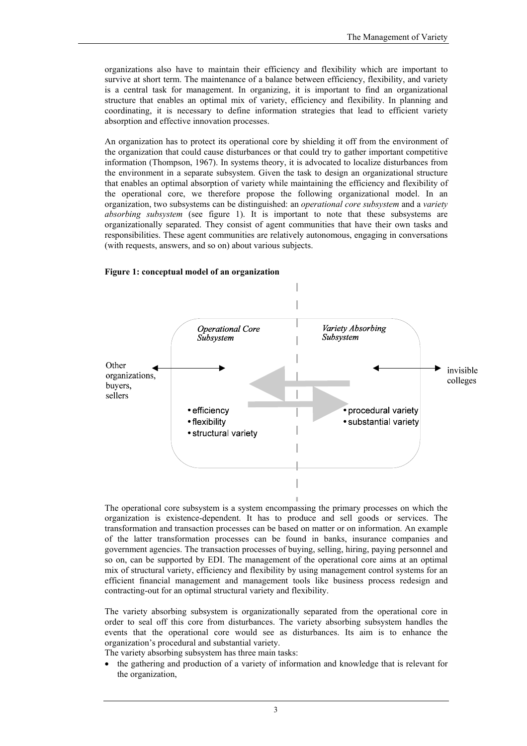organizations also have to maintain their efficiency and flexibility which are important to survive at short term. The maintenance of a balance between efficiency, flexibility, and variety is a central task for management. In organizing, it is important to find an organizational structure that enables an optimal mix of variety, efficiency and flexibility. In planning and coordinating, it is necessary to define information strategies that lead to efficient variety absorption and effective innovation processes.

An organization has to protect its operational core by shielding it off from the environment of the organization that could cause disturbances or that could try to gather important competitive information (Thompson, 1967). In systems theory, it is advocated to localize disturbances from the environment in a separate subsystem. Given the task to design an organizational structure that enables an optimal absorption of variety while maintaining the efficiency and flexibility of the operational core, we therefore propose the following organizational model. In an organization, two subsystems can be distinguished: an *operational core subsystem* and a *variety absorbing subsystem* (see figure 1). It is important to note that these subsystems are organizationally separated. They consist of agent communities that have their own tasks and responsibilities. These agent communities are relatively autonomous, engaging in conversations (with requests, answers, and so on) about various subjects.



#### **Figure 1: conceptual model of an organization**

The operational core subsystem is a system encompassing the primary processes on which the organization is existence-dependent. It has to produce and sell goods or services. The transformation and transaction processes can be based on matter or on information. An example of the latter transformation processes can be found in banks, insurance companies and government agencies. The transaction processes of buying, selling, hiring, paying personnel and so on, can be supported by EDI. The management of the operational core aims at an optimal mix of structural variety, efficiency and flexibility by using management control systems for an efficient financial management and management tools like business process redesign and contracting-out for an optimal structural variety and flexibility.

The variety absorbing subsystem is organizationally separated from the operational core in order to seal off this core from disturbances. The variety absorbing subsystem handles the events that the operational core would see as disturbances. Its aim is to enhance the organization's procedural and substantial variety.

The variety absorbing subsystem has three main tasks:

• the gathering and production of a variety of information and knowledge that is relevant for the organization,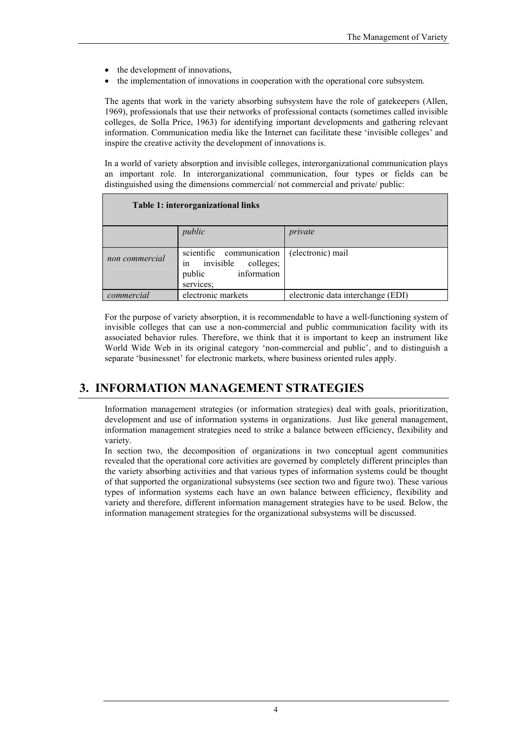- the development of innovations,
- the implementation of innovations in cooperation with the operational core subsystem.

The agents that work in the variety absorbing subsystem have the role of gatekeepers (Allen, 1969), professionals that use their networks of professional contacts (sometimes called invisible colleges, de Solla Price, 1963) for identifying important developments and gathering relevant information. Communication media like the Internet can facilitate these 'invisible colleges' and inspire the creative activity the development of innovations is.

In a world of variety absorption and invisible colleges, interorganizational communication plays an important role. In interorganizational communication, four types or fields can be distinguished using the dimensions commercial/ not commercial and private/ public:

| Table 1: interorganizational links |                                                                                                |                                   |  |
|------------------------------------|------------------------------------------------------------------------------------------------|-----------------------------------|--|
|                                    | public                                                                                         | private                           |  |
| non commercial                     | scientific communication<br>in<br>invisible<br>colleges;<br>information<br>public<br>services: | (electronic) mail                 |  |
| commercial                         | electronic markets                                                                             | electronic data interchange (EDI) |  |

For the purpose of variety absorption, it is recommendable to have a well-functioning system of invisible colleges that can use a non-commercial and public communication facility with its associated behavior rules. Therefore, we think that it is important to keep an instrument like World Wide Web in its original category 'non-commercial and public', and to distinguish a separate 'businessnet' for electronic markets, where business oriented rules apply.

### **3. INFORMATION MANAGEMENT STRATEGIES**

Information management strategies (or information strategies) deal with goals, prioritization, development and use of information systems in organizations. Just like general management, information management strategies need to strike a balance between efficiency, flexibility and variety.

In section two, the decomposition of organizations in two conceptual agent communities revealed that the operational core activities are governed by completely different principles than the variety absorbing activities and that various types of information systems could be thought of that supported the organizational subsystems (see section two and figure two). These various types of information systems each have an own balance between efficiency, flexibility and variety and therefore, different information management strategies have to be used. Below, the information management strategies for the organizational subsystems will be discussed.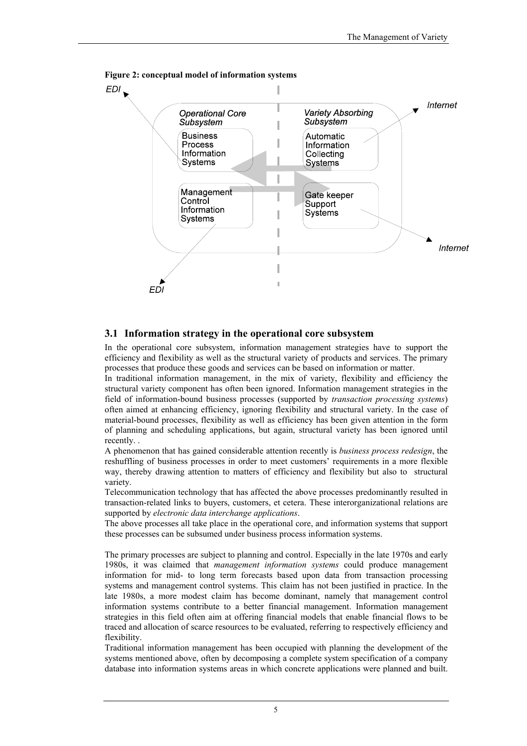

**Figure 2: conceptual model of information systems** 

#### **3.1 Information strategy in the operational core subsystem**

In the operational core subsystem, information management strategies have to support the efficiency and flexibility as well as the structural variety of products and services. The primary processes that produce these goods and services can be based on information or matter.

In traditional information management, in the mix of variety, flexibility and efficiency the structural variety component has often been ignored. Information management strategies in the field of information-bound business processes (supported by *transaction processing systems*) often aimed at enhancing efficiency, ignoring flexibility and structural variety. In the case of material-bound processes, flexibility as well as efficiency has been given attention in the form of planning and scheduling applications, but again, structural variety has been ignored until recently. .

A phenomenon that has gained considerable attention recently is *business process redesign*, the reshuffling of business processes in order to meet customers' requirements in a more flexible way, thereby drawing attention to matters of efficiency and flexibility but also to structural variety.

Telecommunication technology that has affected the above processes predominantly resulted in transaction-related links to buyers, customers, et cetera. These interorganizational relations are supported by *electronic data interchange applications*.

The above processes all take place in the operational core, and information systems that support these processes can be subsumed under business process information systems.

The primary processes are subject to planning and control. Especially in the late 1970s and early 1980s, it was claimed that *management information systems* could produce management information for mid- to long term forecasts based upon data from transaction processing systems and management control systems. This claim has not been justified in practice. In the late 1980s, a more modest claim has become dominant, namely that management control information systems contribute to a better financial management. Information management strategies in this field often aim at offering financial models that enable financial flows to be traced and allocation of scarce resources to be evaluated, referring to respectively efficiency and flexibility.

Traditional information management has been occupied with planning the development of the systems mentioned above, often by decomposing a complete system specification of a company database into information systems areas in which concrete applications were planned and built.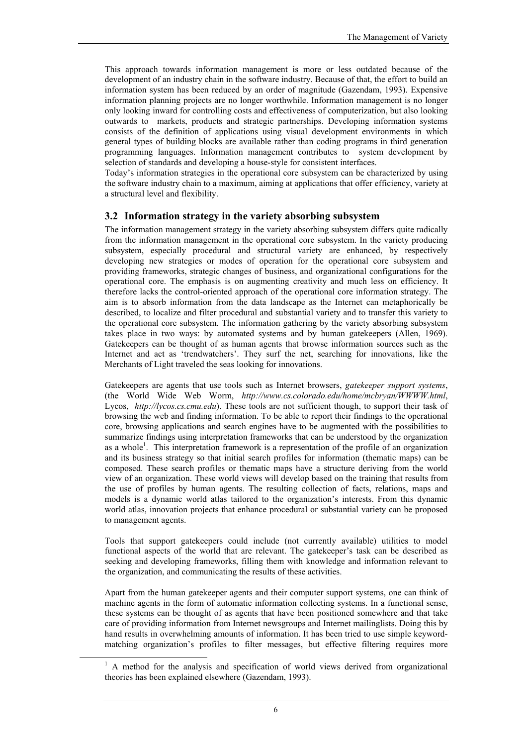This approach towards information management is more or less outdated because of the development of an industry chain in the software industry. Because of that, the effort to build an information system has been reduced by an order of magnitude (Gazendam, 1993). Expensive information planning projects are no longer worthwhile. Information management is no longer only looking inward for controlling costs and effectiveness of computerization, but also looking outwards to markets, products and strategic partnerships. Developing information systems consists of the definition of applications using visual development environments in which general types of building blocks are available rather than coding programs in third generation programming languages. Information management contributes to system development by selection of standards and developing a house-style for consistent interfaces.

Today's information strategies in the operational core subsystem can be characterized by using the software industry chain to a maximum, aiming at applications that offer efficiency, variety at a structural level and flexibility.

#### **3.2 Information strategy in the variety absorbing subsystem**

The information management strategy in the variety absorbing subsystem differs quite radically from the information management in the operational core subsystem. In the variety producing subsystem, especially procedural and structural variety are enhanced, by respectively developing new strategies or modes of operation for the operational core subsystem and providing frameworks, strategic changes of business, and organizational configurations for the operational core. The emphasis is on augmenting creativity and much less on efficiency. It therefore lacks the control-oriented approach of the operational core information strategy. The aim is to absorb information from the data landscape as the Internet can metaphorically be described, to localize and filter procedural and substantial variety and to transfer this variety to the operational core subsystem. The information gathering by the variety absorbing subsystem takes place in two ways: by automated systems and by human gatekeepers (Allen, 1969). Gatekeepers can be thought of as human agents that browse information sources such as the Internet and act as 'trendwatchers'. They surf the net, searching for innovations, like the Merchants of Light traveled the seas looking for innovations.

Gatekeepers are agents that use tools such as Internet browsers, *gatekeeper support systems*, (the World Wide Web Worm, *http://www.cs.colorado.edu/home/mcbryan/WWWW.html*, Lycos, *http://lycos.cs.cmu.edu*). These tools are not sufficient though, to support their task of browsing the web and finding information. To be able to report their findings to the operational core, browsing applications and search engines have to be augmented with the possibilities to summarize findings using interpretation frameworks that can be understood by the organization as a whole<sup>[1](#page-5-0)</sup>. This interpretation framework is a representation of the profile of an organization and its business strategy so that initial search profiles for information (thematic maps) can be composed. These search profiles or thematic maps have a structure deriving from the world view of an organization. These world views will develop based on the training that results from the use of profiles by human agents. The resulting collection of facts, relations, maps and models is a dynamic world atlas tailored to the organization's interests. From this dynamic world atlas, innovation projects that enhance procedural or substantial variety can be proposed to management agents.

Tools that support gatekeepers could include (not currently available) utilities to model functional aspects of the world that are relevant. The gatekeeper's task can be described as seeking and developing frameworks, filling them with knowledge and information relevant to the organization, and communicating the results of these activities.

Apart from the human gatekeeper agents and their computer support systems, one can think of machine agents in the form of automatic information collecting systems. In a functional sense, these systems can be thought of as agents that have been positioned somewhere and that take care of providing information from Internet newsgroups and Internet mailinglists. Doing this by hand results in overwhelming amounts of information. It has been tried to use simple keywordmatching organization's profiles to filter messages, but effective filtering requires more

<span id="page-5-0"></span><sup>&</sup>lt;sup>1</sup> A method for the analysis and specification of world views derived from organizational theories has been explained elsewhere (Gazendam, 1993).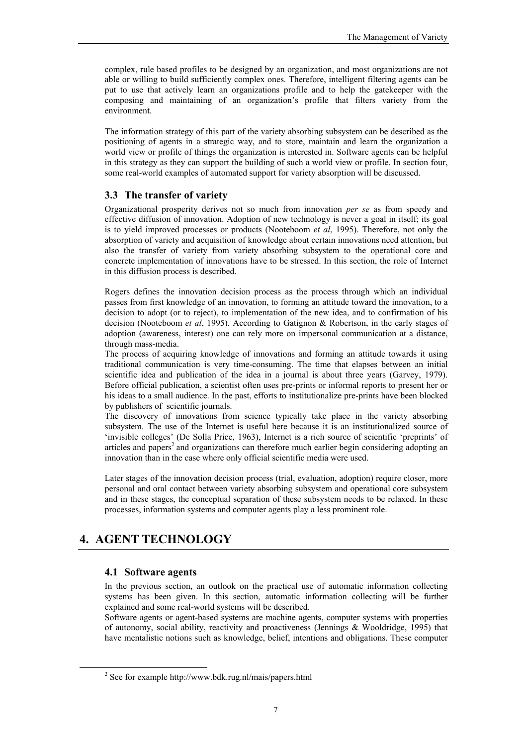complex, rule based profiles to be designed by an organization, and most organizations are not able or willing to build sufficiently complex ones. Therefore, intelligent filtering agents can be put to use that actively learn an organizations profile and to help the gatekeeper with the composing and maintaining of an organization's profile that filters variety from the environment.

The information strategy of this part of the variety absorbing subsystem can be described as the positioning of agents in a strategic way, and to store, maintain and learn the organization a world view or profile of things the organization is interested in. Software agents can be helpful in this strategy as they can support the building of such a world view or profile. In section four, some real-world examples of automated support for variety absorption will be discussed.

#### **3.3 The transfer of variety**

Organizational prosperity derives not so much from innovation *per se* as from speedy and effective diffusion of innovation. Adoption of new technology is never a goal in itself; its goal is to yield improved processes or products (Nooteboom *et al*, 1995). Therefore, not only the absorption of variety and acquisition of knowledge about certain innovations need attention, but also the transfer of variety from variety absorbing subsystem to the operational core and concrete implementation of innovations have to be stressed. In this section, the role of Internet in this diffusion process is described.

Rogers defines the innovation decision process as the process through which an individual passes from first knowledge of an innovation, to forming an attitude toward the innovation, to a decision to adopt (or to reject), to implementation of the new idea, and to confirmation of his decision (Nooteboom *et al*, 1995). According to Gatignon & Robertson, in the early stages of adoption (awareness, interest) one can rely more on impersonal communication at a distance, through mass-media.

The process of acquiring knowledge of innovations and forming an attitude towards it using traditional communication is very time-consuming. The time that elapses between an initial scientific idea and publication of the idea in a journal is about three years (Garvey, 1979). Before official publication, a scientist often uses pre-prints or informal reports to present her or his ideas to a small audience. In the past, efforts to institutionalize pre-prints have been blocked by publishers of scientific journals.

The discovery of innovations from science typically take place in the variety absorbing subsystem. The use of the Internet is useful here because it is an institutionalized source of 'invisible colleges' (De Solla Price, 1963), Internet is a rich source of scientific 'preprints' of articles and papers<sup>2</sup> and organizations can therefore much earlier begin considering adopting an innovation than in the case where only official scientific media were used.

Later stages of the innovation decision process (trial, evaluation, adoption) require closer, more personal and oral contact between variety absorbing subsystem and operational core subsystem and in these stages, the conceptual separation of these subsystem needs to be relaxed. In these processes, information systems and computer agents play a less prominent role.

## **4. AGENT TECHNOLOGY**

#### **4.1 Software agents**

In the previous section, an outlook on the practical use of automatic information collecting systems has been given. In this section, automatic information collecting will be further explained and some real-world systems will be described.

Software agents or agent-based systems are machine agents, computer systems with properties of autonomy, social ability, reactivity and proactiveness (Jennings & Wooldridge, 1995) that have mentalistic notions such as knowledge, belief, intentions and obligations. These computer

<span id="page-6-0"></span> <sup>2</sup>  $\frac{2}{3}$  See for example http://www.bdk.rug.nl/mais/papers.html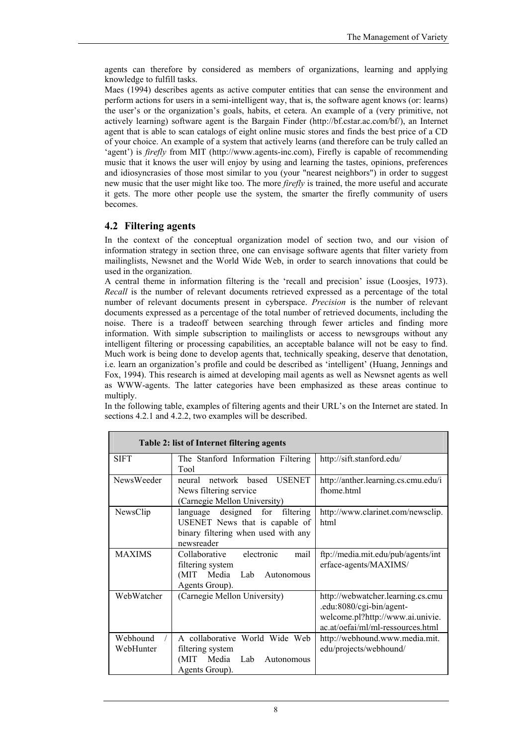agents can therefore by considered as members of organizations, learning and applying knowledge to fulfill tasks.

Maes (1994) describes agents as active computer entities that can sense the environment and perform actions for users in a semi-intelligent way, that is, the software agent knows (or: learns) the user's or the organization's goals, habits, et cetera. An example of a (very primitive, not actively learning) software agent is the Bargain Finder (http://bf.cstar.ac.com/bf/), an Internet agent that is able to scan catalogs of eight online music stores and finds the best price of a CD of your choice. An example of a system that actively learns (and therefore can be truly called an 'agent') is *firefly* from MIT (http://www.agents-inc.com), Firefly is capable of recommending music that it knows the user will enjoy by using and learning the tastes, opinions, preferences and idiosyncrasies of those most similar to you (your "nearest neighbors") in order to suggest new music that the user might like too. The more *firefly* is trained, the more useful and accurate it gets. The more other people use the system, the smarter the firefly community of users becomes.

#### **4.2 Filtering agents**

In the context of the conceptual organization model of section two, and our vision of information strategy in section three, one can envisage software agents that filter variety from mailinglists, Newsnet and the World Wide Web, in order to search innovations that could be used in the organization.

A central theme in information filtering is the 'recall and precision' issue (Loosjes, 1973). *Recall* is the number of relevant documents retrieved expressed as a percentage of the total number of relevant documents present in cyberspace. *Precision* is the number of relevant documents expressed as a percentage of the total number of retrieved documents, including the noise. There is a tradeoff between searching through fewer articles and finding more information. With simple subscription to mailinglists or access to newsgroups without any intelligent filtering or processing capabilities, an acceptable balance will not be easy to find. Much work is being done to develop agents that, technically speaking, deserve that denotation, i.e. learn an organization's profile and could be described as 'intelligent' (Huang, Jennings and Fox, 1994). This research is aimed at developing mail agents as well as Newsnet agents as well as WWW-agents. The latter categories have been emphasized as these areas continue to multiply.

In the following table, examples of filtering agents and their URL's on the Internet are stated. In sections 4.2.1 and 4.2.2, two examples will be described.

| Table 2: list of Internet filtering agents |                                                                                                                              |                                                                                                                                        |  |
|--------------------------------------------|------------------------------------------------------------------------------------------------------------------------------|----------------------------------------------------------------------------------------------------------------------------------------|--|
| <b>SIFT</b>                                | The Stanford Information Filtering<br>Tool                                                                                   | http://sift.stanford.edu/                                                                                                              |  |
| NewsWeeder                                 | network based<br><b>USENET</b><br>neural<br>News filtering service<br>(Carnegie Mellon University)                           | http://anther.learning.cs.cmu.edu/i<br>fhome html                                                                                      |  |
| NewsClip                                   | designed for<br>filtering<br>language<br>USENET News that is capable of<br>binary filtering when used with any<br>newsreader | http://www.clarinet.com/newsclip.<br>html                                                                                              |  |
| <b>MAXIMS</b>                              | electronic<br>mail<br>Collaborative<br>filtering system<br>Media<br>(MIT)<br>Lab<br>Autonomous<br>Agents Group).             | ftp://media.mit.edu/pub/agents/int<br>erface-agents/MAXIMS/                                                                            |  |
| WebWatcher                                 | (Carnegie Mellon University)                                                                                                 | http://webwatcher.learning.cs.cmu<br>.edu:8080/cgi-bin/agent-<br>welcome.pl?http://www.ai.univie.<br>ac.at/oefai/ml/ml-ressources.html |  |
| Webhound<br>WebHunter                      | A collaborative World Wide Web<br>filtering system<br>Media<br>Lab<br>(MIT<br>Autonomous<br>Agents Group).                   | http://webhound.www.media.mit.<br>edu/projects/webhound/                                                                               |  |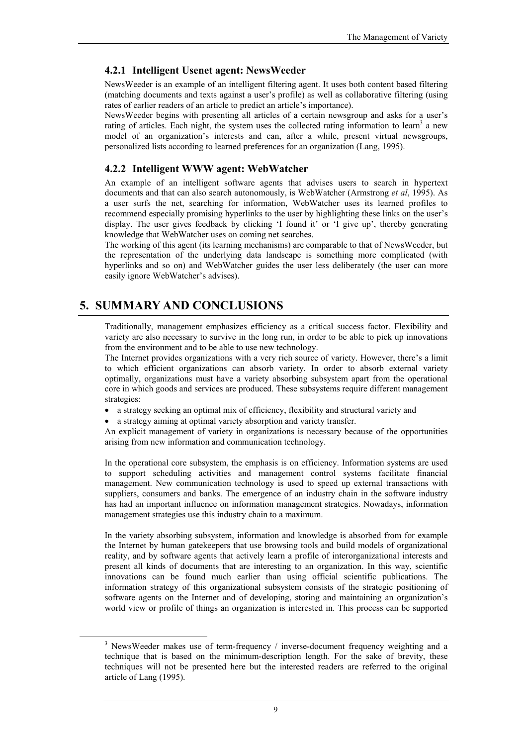#### **4.2.1 Intelligent Usenet agent: NewsWeeder**

NewsWeeder is an example of an intelligent filtering agent. It uses both content based filtering (matching documents and texts against a user's profile) as well as collaborative filtering (using rates of earlier readers of an article to predict an article's importance).

NewsWeeder begins with presenting all articles of a certain newsgroup and asks for a user's rating of articles. Each night, the system uses the collected rating information to learn<sup>3</sup> a new model of an organization's interests and can, after a while, present virtual newsgroups, personalized lists according to learned preferences for an organization (Lang, 1995).

#### **4.2.2 Intelligent WWW agent: WebWatcher**

An example of an intelligent software agents that advises users to search in hypertext documents and that can also search autonomously, is WebWatcher (Armstrong *et al*, 1995). As a user surfs the net, searching for information, WebWatcher uses its learned profiles to recommend especially promising hyperlinks to the user by highlighting these links on the user's display. The user gives feedback by clicking 'I found it' or 'I give up', thereby generating knowledge that WebWatcher uses on coming net searches.

The working of this agent (its learning mechanisms) are comparable to that of NewsWeeder, but the representation of the underlying data landscape is something more complicated (with hyperlinks and so on) and WebWatcher guides the user less deliberately (the user can more easily ignore WebWatcher's advises).

### **5. SUMMARY AND CONCLUSIONS**

Traditionally, management emphasizes efficiency as a critical success factor. Flexibility and variety are also necessary to survive in the long run, in order to be able to pick up innovations from the environment and to be able to use new technology.

The Internet provides organizations with a very rich source of variety. However, there's a limit to which efficient organizations can absorb variety. In order to absorb external variety optimally, organizations must have a variety absorbing subsystem apart from the operational core in which goods and services are produced. These subsystems require different management strategies:

- a strategy seeking an optimal mix of efficiency, flexibility and structural variety and
- a strategy aiming at optimal variety absorption and variety transfer.

An explicit management of variety in organizations is necessary because of the opportunities arising from new information and communication technology.

In the operational core subsystem, the emphasis is on efficiency. Information systems are used to support scheduling activities and management control systems facilitate financial management. New communication technology is used to speed up external transactions with suppliers, consumers and banks. The emergence of an industry chain in the software industry has had an important influence on information management strategies. Nowadays, information management strategies use this industry chain to a maximum.

In the variety absorbing subsystem, information and knowledge is absorbed from for example the Internet by human gatekeepers that use browsing tools and build models of organizational reality, and by software agents that actively learn a profile of interorganizational interests and present all kinds of documents that are interesting to an organization. In this way, scientific innovations can be found much earlier than using official scientific publications. The information strategy of this organizational subsystem consists of the strategic positioning of software agents on the Internet and of developing, storing and maintaining an organization's world view or profile of things an organization is interested in. This process can be supported

<span id="page-8-0"></span> $\overline{\phantom{a}}$  $3$  NewsWeeder makes use of term-frequency / inverse-document frequency weighting and a technique that is based on the minimum-description length. For the sake of brevity, these techniques will not be presented here but the interested readers are referred to the original article of Lang (1995).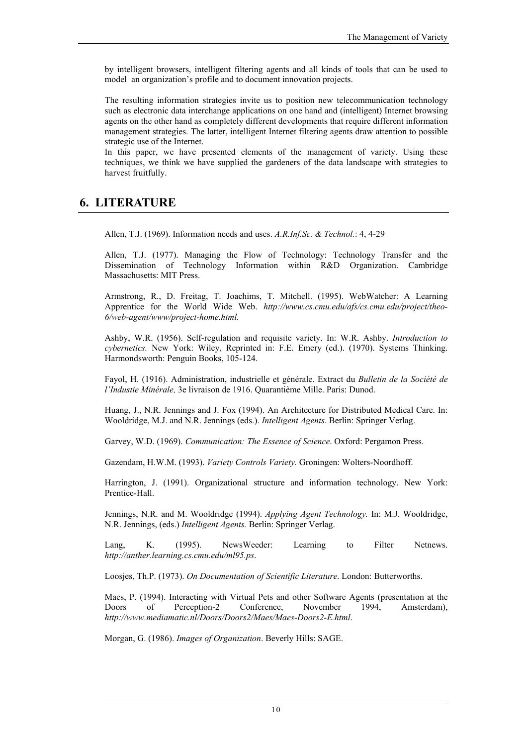by intelligent browsers, intelligent filtering agents and all kinds of tools that can be used to model an organization's profile and to document innovation projects.

The resulting information strategies invite us to position new telecommunication technology such as electronic data interchange applications on one hand and (intelligent) Internet browsing agents on the other hand as completely different developments that require different information management strategies. The latter, intelligent Internet filtering agents draw attention to possible strategic use of the Internet.

In this paper, we have presented elements of the management of variety. Using these techniques, we think we have supplied the gardeners of the data landscape with strategies to harvest fruitfully.

### **6. LITERATURE**

Allen, T.J. (1969). Information needs and uses. *A.R.Inf.Sc. & Technol.*: 4, 4-29

Allen, T.J. (1977). Managing the Flow of Technology: Technology Transfer and the Dissemination of Technology Information within R&D Organization. Cambridge Massachusetts: MIT Press.

Armstrong, R., D. Freitag, T. Joachims, T. Mitchell. (1995). WebWatcher: A Learning Apprentice for the World Wide Web. *http://www.cs.cmu.edu/afs/cs.cmu.edu/project/theo-6/web-agent/www/project-home.html.* 

Ashby, W.R. (1956). Self-regulation and requisite variety. In: W.R. Ashby. *Introduction to cybernetics.* New York: Wiley, Reprinted in: F.E. Emery (ed.). (1970). Systems Thinking. Harmondsworth: Penguin Books, 105-124.

Fayol, H. (1916). Administration, industrielle et générale. Extract du *Bulletin de la Société de l'Industie Minérale,* 3e livraison de 1916. Quarantième Mille. Paris: Dunod.

Huang, J., N.R. Jennings and J. Fox (1994). An Architecture for Distributed Medical Care. In: Wooldridge, M.J. and N.R. Jennings (eds.). *Intelligent Agents.* Berlin: Springer Verlag.

Garvey, W.D. (1969). *Communication: The Essence of Science*. Oxford: Pergamon Press.

Gazendam, H.W.M. (1993). *Variety Controls Variety.* Groningen: Wolters-Noordhoff.

Harrington, J. (1991). Organizational structure and information technology. New York: Prentice-Hall.

Jennings, N.R. and M. Wooldridge (1994). *Applying Agent Technology.* In: M.J. Wooldridge, N.R. Jennings, (eds.) *Intelligent Agents.* Berlin: Springer Verlag.

Lang, K. (1995). NewsWeeder: Learning to Filter Netnews. *http://anther.learning.cs.cmu.edu/ml95.ps*.

Loosjes, Th.P. (1973). *On Documentation of Scientific Literature*. London: Butterworths.

Maes, P. (1994). Interacting with Virtual Pets and other Software Agents (presentation at the Doors of Perception-2 Conference, November 1994, Amsterdam), *http://www.mediamatic.nl/Doors/Doors2/Maes/Maes-Doors2-E.html*.

Morgan, G. (1986). *Images of Organization*. Beverly Hills: SAGE.